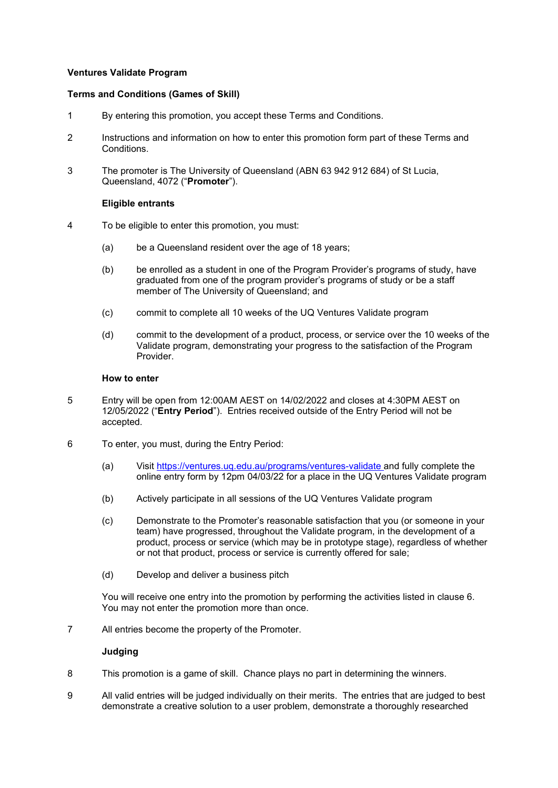## **Ventures Validate Program**

### **Terms and Conditions (Games of Skill)**

- 1 By entering this promotion, you accept these Terms and Conditions.
- 2 Instructions and information on how to enter this promotion form part of these Terms and Conditions.
- 3 The promoter is The University of Queensland (ABN 63 942 912 684) of St Lucia, Queensland, 4072 ("**Promoter**").

## **Eligible entrants**

- 4 To be eligible to enter this promotion, you must:
	- (a) be a Queensland resident over the age of 18 years;
	- (b) be enrolled as a student in one of the Program Provider's programs of study, have graduated from one of the program provider's programs of study or be a staff member of The University of Queensland; and
	- (c) commit to complete all 10 weeks of the UQ Ventures Validate program
	- (d) commit to the development of a product, process, or service over the 10 weeks of the Validate program, demonstrating your progress to the satisfaction of the Program Provider.

### **How to enter**

- 5 Entry will be open from 12:00AM AEST on 14/02/2022 and closes at 4:30PM AEST on 12/05/2022 ("**Entry Period**"). Entries received outside of the Entry Period will not be accepted.
- 6 To enter, you must, during the Entry Period:
	- (a) Visit<https://ventures.uq.edu.au/programs/ventures-validate> and fully complete the online entry form by 12pm 04/03/22 for a place in the UQ Ventures Validate program
	- (b) Actively participate in all sessions of the UQ Ventures Validate program
	- (c) Demonstrate to the Promoter's reasonable satisfaction that you (or someone in your team) have progressed, throughout the Validate program, in the development of a product, process or service (which may be in prototype stage), regardless of whether or not that product, process or service is currently offered for sale;
	- (d) Develop and deliver a business pitch

You will receive one entry into the promotion by performing the activities listed in clause 6. You may not enter the promotion more than once.

7 All entries become the property of the Promoter.

# **Judging**

- 8 This promotion is a game of skill. Chance plays no part in determining the winners.
- 9 All valid entries will be judged individually on their merits. The entries that are judged to best demonstrate a creative solution to a user problem, demonstrate a thoroughly researched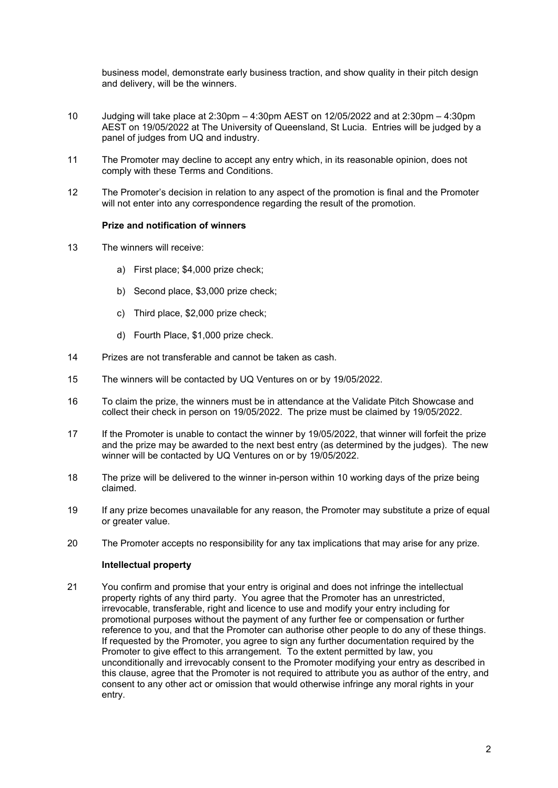business model, demonstrate early business traction, and show quality in their pitch design and delivery, will be the winners.

- 10 Judging will take place at 2:30pm 4:30pm AEST on 12/05/2022 and at 2:30pm 4:30pm AEST on 19/05/2022 at The University of Queensland, St Lucia. Entries will be judged by a panel of judges from UQ and industry.
- 11 The Promoter may decline to accept any entry which, in its reasonable opinion, does not comply with these Terms and Conditions.
- 12 The Promoter's decision in relation to any aspect of the promotion is final and the Promoter will not enter into any correspondence regarding the result of the promotion.

## **Prize and notification of winners**

- 13 The winners will receive:
	- a) First place; \$4,000 prize check;
	- b) Second place, \$3,000 prize check;
	- c) Third place, \$2,000 prize check;
	- d) Fourth Place, \$1,000 prize check.
- 14 Prizes are not transferable and cannot be taken as cash.
- 15 The winners will be contacted by UQ Ventures on or by 19/05/2022.
- 16 To claim the prize, the winners must be in attendance at the Validate Pitch Showcase and collect their check in person on 19/05/2022. The prize must be claimed by 19/05/2022.
- 17 If the Promoter is unable to contact the winner by 19/05/2022, that winner will forfeit the prize and the prize may be awarded to the next best entry (as determined by the judges). The new winner will be contacted by UQ Ventures on or by 19/05/2022.
- 18 The prize will be delivered to the winner in-person within 10 working days of the prize being claimed.
- 19 If any prize becomes unavailable for any reason, the Promoter may substitute a prize of equal or greater value.
- 20 The Promoter accepts no responsibility for any tax implications that may arise for any prize.

### **Intellectual property**

21 You confirm and promise that your entry is original and does not infringe the intellectual property rights of any third party. You agree that the Promoter has an unrestricted, irrevocable, transferable, right and licence to use and modify your entry including for promotional purposes without the payment of any further fee or compensation or further reference to you, and that the Promoter can authorise other people to do any of these things. If requested by the Promoter, you agree to sign any further documentation required by the Promoter to give effect to this arrangement. To the extent permitted by law, you unconditionally and irrevocably consent to the Promoter modifying your entry as described in this clause, agree that the Promoter is not required to attribute you as author of the entry, and consent to any other act or omission that would otherwise infringe any moral rights in your entry.